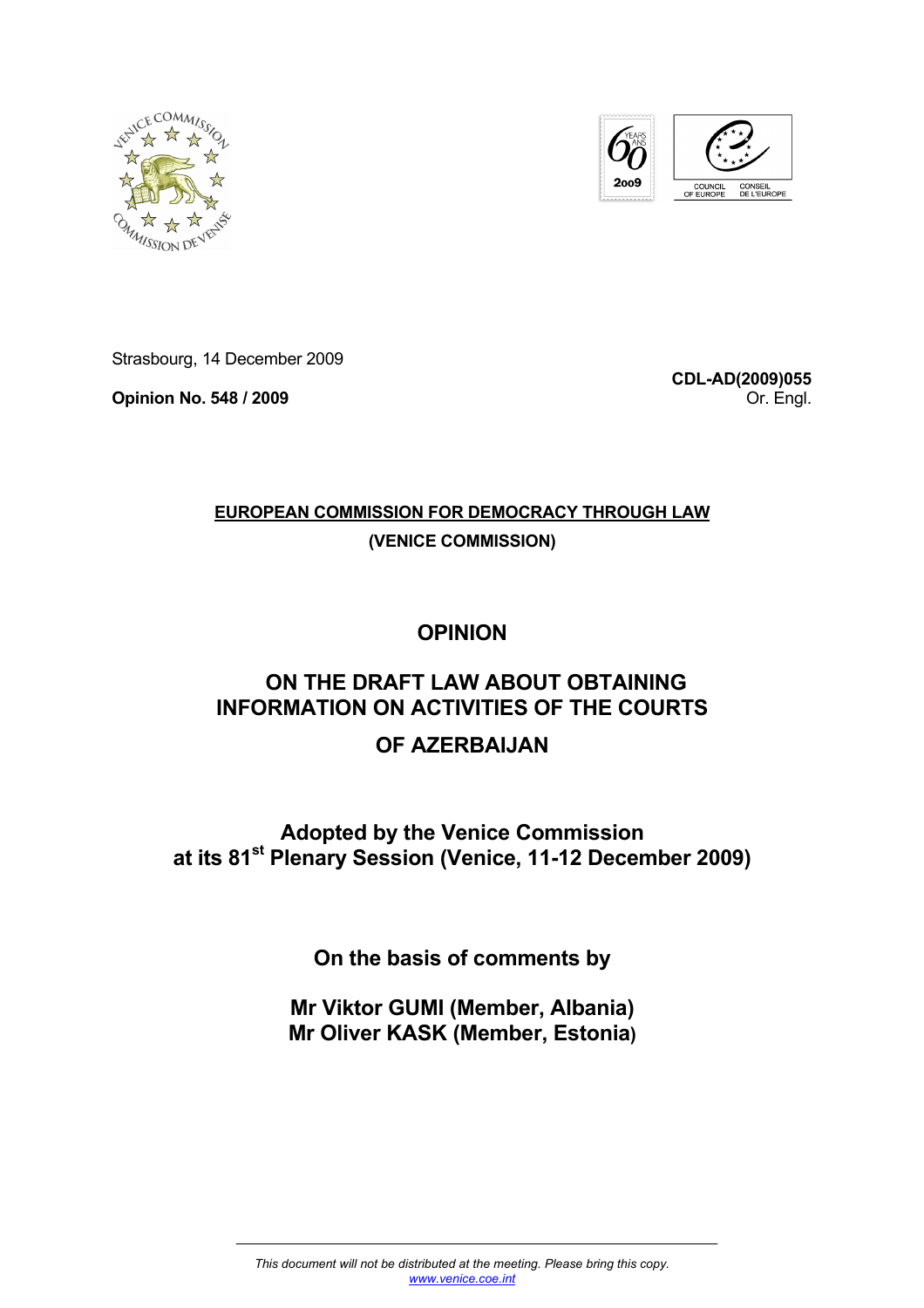



Strasbourg, 14 December 2009

**Opinion No. 548 / 2009** 

**CDL-AD(2009)055** Or. Engl.

# **EUROPEAN COMMISSION FOR DEMOCRACY THROUGH LAW**

**(VENICE COMMISSION)**

# **OPINION**

# **ON THE DRAFT LAW ABOUT OBTAINING INFORMATION ON ACTIVITIES OF THE COURTS**

# **OF AZERBAIJAN**

**Adopted by the Venice Commission at its 81st Plenary Session (Venice, 11-12 December 2009)** 

**On the basis of comments by** 

**Mr Viktor GUMI (Member, Albania) Mr Oliver KASK (Member, Estonia)**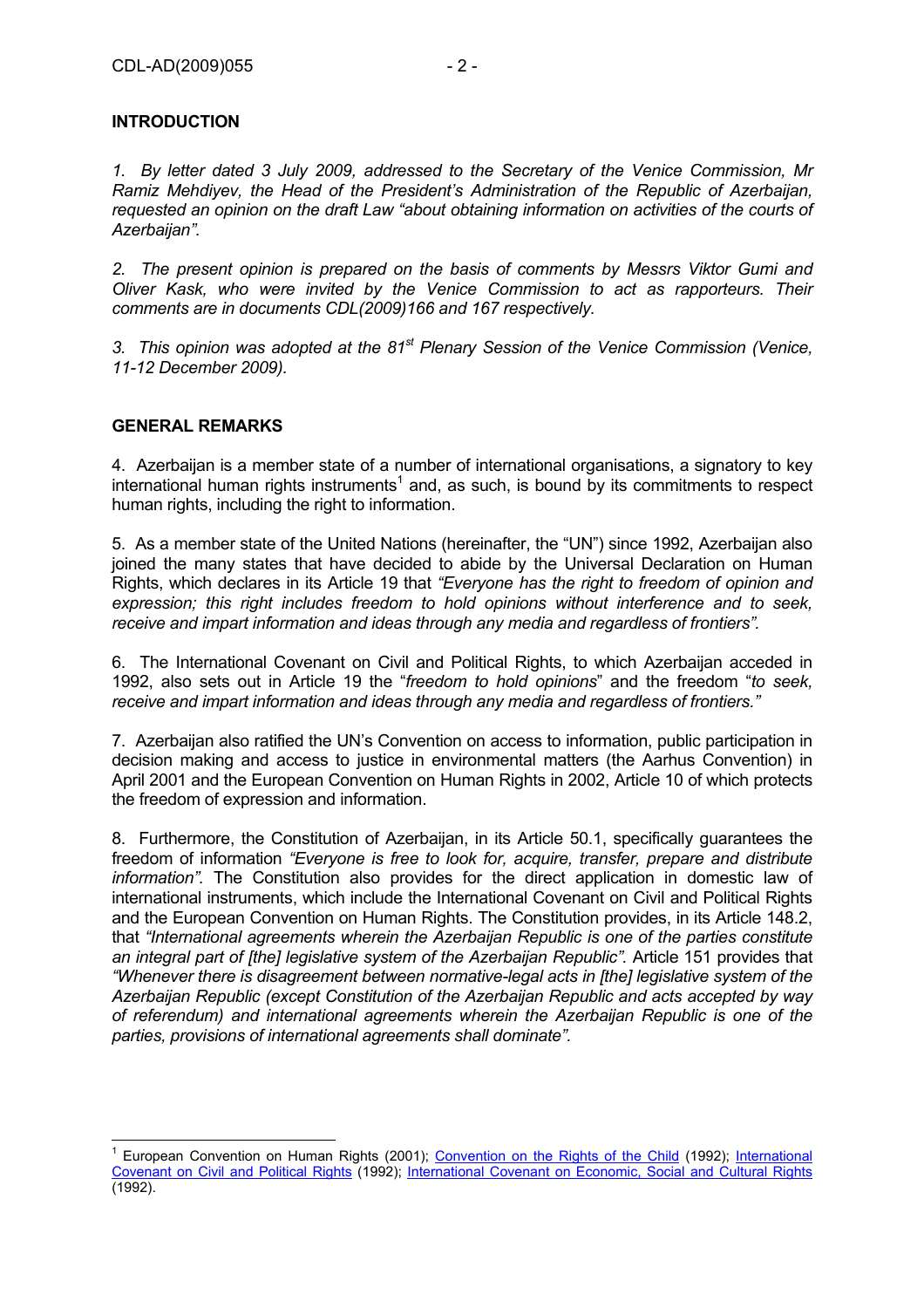#### **INTRODUCTION**

*1. By letter dated 3 July 2009, addressed to the Secretary of the Venice Commission, Mr Ramiz Mehdiyev, the Head of the President's Administration of the Republic of Azerbaijan, requested an opinion on the draft Law "about obtaining information on activities of the courts of Azerbaijan".* 

*2. The present opinion is prepared on the basis of comments by Messrs Viktor Gumi and Oliver Kask, who were invited by the Venice Commission to act as rapporteurs. Their comments are in documents CDL(2009)166 and 167 respectively.* 

*3. This opinion was adopted at the 81st Plenary Session of the Venice Commission (Venice, 11-12 December 2009).* 

#### **GENERAL REMARKS**

4. Azerbaijan is a member state of a number of international organisations, a signatory to key international human rights instruments<sup>1</sup> and, as such, is bound by its commitments to respect human rights, including the right to information.

5. As a member state of the United Nations (hereinafter, the "UN") since 1992, Azerbaijan also joined the many states that have decided to abide by the Universal Declaration on Human Rights, which declares in its Article 19 that *"Everyone has the right to freedom of opinion and expression; this right includes freedom to hold opinions without interference and to seek, receive and impart information and ideas through any media and regardless of frontiers".*

6. The International Covenant on Civil and Political Rights, to which Azerbaijan acceded in 1992, also sets out in Article 19 the "*freedom to hold opinions*" and the freedom "*to seek, receive and impart information and ideas through any media and regardless of frontiers."* 

7. Azerbaijan also ratified the UN's Convention on access to information, public participation in decision making and access to justice in environmental matters (the Aarhus Convention) in April 2001 and the European Convention on Human Rights in 2002, Article 10 of which protects the freedom of expression and information.

8. Furthermore, the Constitution of Azerbaijan, in its Article 50.1, specifically guarantees the freedom of information *"Everyone is free to look for, acquire, transfer, prepare and distribute information".* The Constitution also provides for the direct application in domestic law of international instruments, which include the International Covenant on Civil and Political Rights and the European Convention on Human Rights. The Constitution provides, in its Article 148.2, that *"International agreements wherein the Azerbaijan Republic is one of the parties constitute an integral part of [the] legislative system of the Azerbaijan Republic".* Article 151 provides that *"Whenever there is disagreement between normative-legal acts in [the] legislative system of the Azerbaijan Republic (except Constitution of the Azerbaijan Republic and acts accepted by way of referendum) and international agreements wherein the Azerbaijan Republic is one of the parties, provisions of international agreements shall dominate".* 

<sup>1</sup> European Convention on Human Rights (2001); Convention on the Rights of the Child (1992); International Covenant on Civil and Political Rights (1992); International Covenant on Economic, Social and Cultural Rights (1992).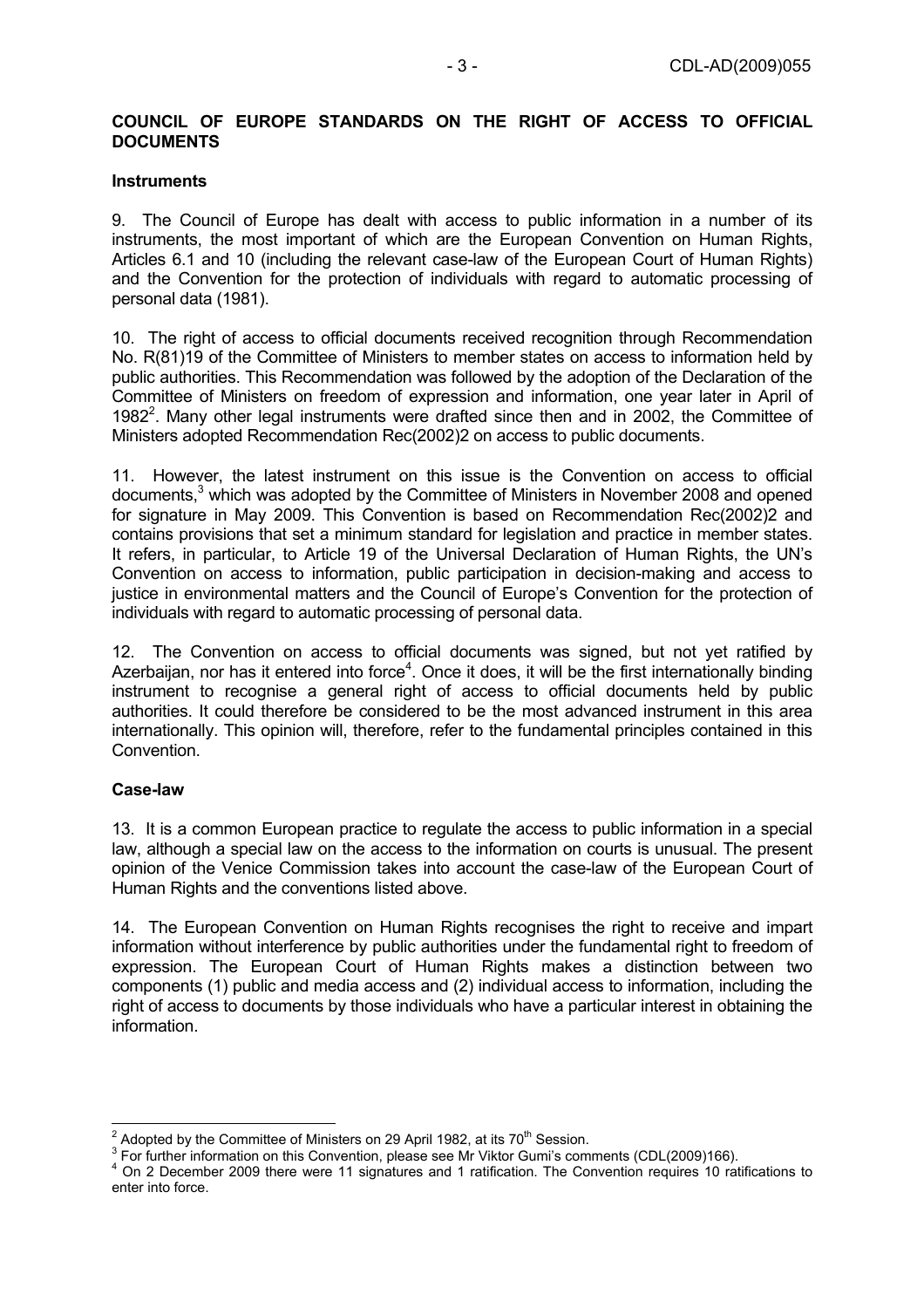#### **COUNCIL OF EUROPE STANDARDS ON THE RIGHT OF ACCESS TO OFFICIAL DOCUMENTS**

#### **Instruments**

9. The Council of Europe has dealt with access to public information in a number of its instruments, the most important of which are the European Convention on Human Rights, Articles 6.1 and 10 (including the relevant case-law of the European Court of Human Rights) and the Convention for the protection of individuals with regard to automatic processing of personal data (1981).

10. The right of access to official documents received recognition through Recommendation No. R(81)19 of the Committee of Ministers to member states on access to information held by public authorities. This Recommendation was followed by the adoption of the Declaration of the Committee of Ministers on freedom of expression and information, one year later in April of 1982<sup>2</sup>. Many other legal instruments were drafted since then and in 2002, the Committee of Ministers adopted Recommendation Rec(2002)2 on access to public documents.

11. However, the latest instrument on this issue is the Convention on access to official documents, $3$  which was adopted by the Committee of Ministers in November 2008 and opened for signature in May 2009. This Convention is based on Recommendation Rec(2002)2 and contains provisions that set a minimum standard for legislation and practice in member states. It refers, in particular, to Article 19 of the Universal Declaration of Human Rights, the UN's Convention on access to information, public participation in decision-making and access to justice in environmental matters and the Council of Europe's Convention for the protection of individuals with regard to automatic processing of personal data.

12. The Convention on access to official documents was signed, but not yet ratified by Azerbaijan, nor has it entered into force<sup>4</sup>. Once it does, it will be the first internationally binding instrument to recognise a general right of access to official documents held by public authorities. It could therefore be considered to be the most advanced instrument in this area internationally. This opinion will, therefore, refer to the fundamental principles contained in this Convention.

#### **Case-law**

13. It is a common European practice to regulate the access to public information in a special law, although a special law on the access to the information on courts is unusual. The present opinion of the Venice Commission takes into account the case-law of the European Court of Human Rights and the conventions listed above.

14. The European Convention on Human Rights recognises the right to receive and impart information without interference by public authorities under the fundamental right to freedom of expression. The European Court of Human Rights makes a distinction between two components (1) public and media access and (2) individual access to information, including the right of access to documents by those individuals who have a particular interest in obtaining the information.

 $\frac{2}{3}$  Adopted by the Committee of Ministers on 29 April 1982, at its 70<sup>th</sup> Session.

<sup>&</sup>lt;sup>3</sup> For further information on this Convention, please see Mr Viktor Gumi's comments (CDL(2009)166).

<sup>&</sup>lt;sup>4</sup> On 2 December 2009 there were 11 signatures and 1 ratification. The Convention requires 10 ratifications to enter into force.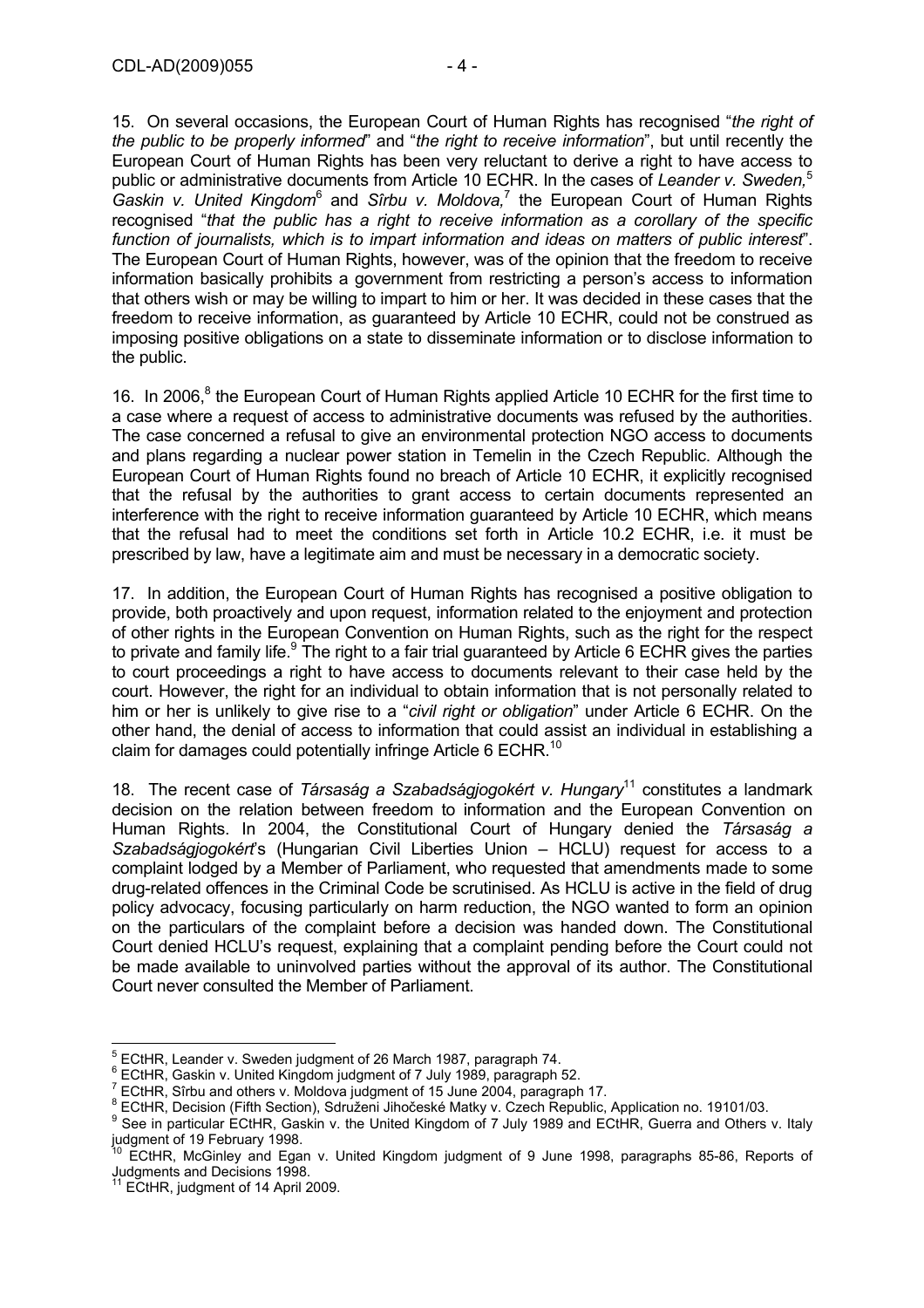15. On several occasions, the European Court of Human Rights has recognised "*the right of the public to be properly informed*" and "*the right to receive information*", but until recently the European Court of Human Rights has been very reluctant to derive a right to have access to public or administrative documents from Article 10 ECHR. In the cases of *Leander v. Sweden*<sup>5</sup> Gaskin v. United Kingdom<sup>6</sup> and Sîrbu v. Moldova,<sup>7</sup> the European Court of Human Rights recognised "*that the public has a right to receive information as a corollary of the specific function of journalists, which is to impart information and ideas on matters of public interest*". The European Court of Human Rights, however, was of the opinion that the freedom to receive information basically prohibits a government from restricting a person's access to information that others wish or may be willing to impart to him or her. It was decided in these cases that the freedom to receive information, as guaranteed by Article 10 ECHR, could not be construed as imposing positive obligations on a state to disseminate information or to disclose information to the public.

16. In 2006,<sup>8</sup> the European Court of Human Rights applied Article 10 ECHR for the first time to a case where a request of access to administrative documents was refused by the authorities. The case concerned a refusal to give an environmental protection NGO access to documents and plans regarding a nuclear power station in Temelin in the Czech Republic. Although the European Court of Human Rights found no breach of Article 10 ECHR, it explicitly recognised that the refusal by the authorities to grant access to certain documents represented an interference with the right to receive information guaranteed by Article 10 ECHR, which means that the refusal had to meet the conditions set forth in Article 10.2 ECHR, i.e. it must be prescribed by law, have a legitimate aim and must be necessary in a democratic society.

17. In addition, the European Court of Human Rights has recognised a positive obligation to provide, both proactively and upon request, information related to the enjoyment and protection of other rights in the European Convention on Human Rights, such as the right for the respect to private and family life.<sup>9</sup> The right to a fair trial guaranteed by Article 6 ECHR gives the parties to court proceedings a right to have access to documents relevant to their case held by the court. However, the right for an individual to obtain information that is not personally related to him or her is unlikely to give rise to a "*civil right or obligation*" under Article 6 ECHR. On the other hand, the denial of access to information that could assist an individual in establishing a claim for damages could potentially infringe Article 6 ECHR.<sup>10</sup>

18. The recent case of *Társaság a Szabadságjogokért v. Hungary*11 constitutes a landmark decision on the relation between freedom to information and the European Convention on Human Rights. In 2004, the Constitutional Court of Hungary denied the *Társaság a Szabadságjogokért*'s (Hungarian Civil Liberties Union – HCLU) request for access to a complaint lodged by a Member of Parliament, who requested that amendments made to some drug-related offences in the Criminal Code be scrutinised. As HCLU is active in the field of drug policy advocacy, focusing particularly on harm reduction, the NGO wanted to form an opinion on the particulars of the complaint before a decision was handed down. The Constitutional Court denied HCLU's request, explaining that a complaint pending before the Court could not be made available to uninvolved parties without the approval of its author. The Constitutional Court never consulted the Member of Parliament.

 $\overline{a}$ <sup>5</sup> ECtHR, Leander v. Sweden judgment of 26 March 1987, paragraph 74.<br><sup>6</sup> ECtHR, Ceckin v. United Kingdom judgment of 7, luly 1989, paragraph *i* 

<sup>&</sup>lt;sup>o</sup> ECtHR, Gaskin v. United Kingdom judgment of 7 July 1989, paragraph 52.<br><sup>7</sup> ECtHR, Sîrbu and athere v. Meldove judgment of 15, June 2004, paragraph

ECtHR, Sîrbu and others v. Moldova judgment of 15 June 2004, paragraph 17.

BUSHIN, DIELETINI SILIC ATHILICI I. J. 1976.<br>BECtHR, Decision (Fifth Section), Sdruženi Jihočeské Matky v. Czech Republic, Application no. 19101/03.

<sup>&</sup>lt;sup>9</sup> See in particular ECtHR, Gaskin v. the United Kingdom of 7 July 1989 and ECtHR, Guerra and Others v. Italy judgment of 19 February 1998.

<sup>10</sup> ECtHR, McGinley and Egan v. United Kingdom judgment of 9 June 1998, paragraphs 85-86, Reports of Judgments and Decisions 1998.

 $11$  ECtHR, judgment of 14 April 2009.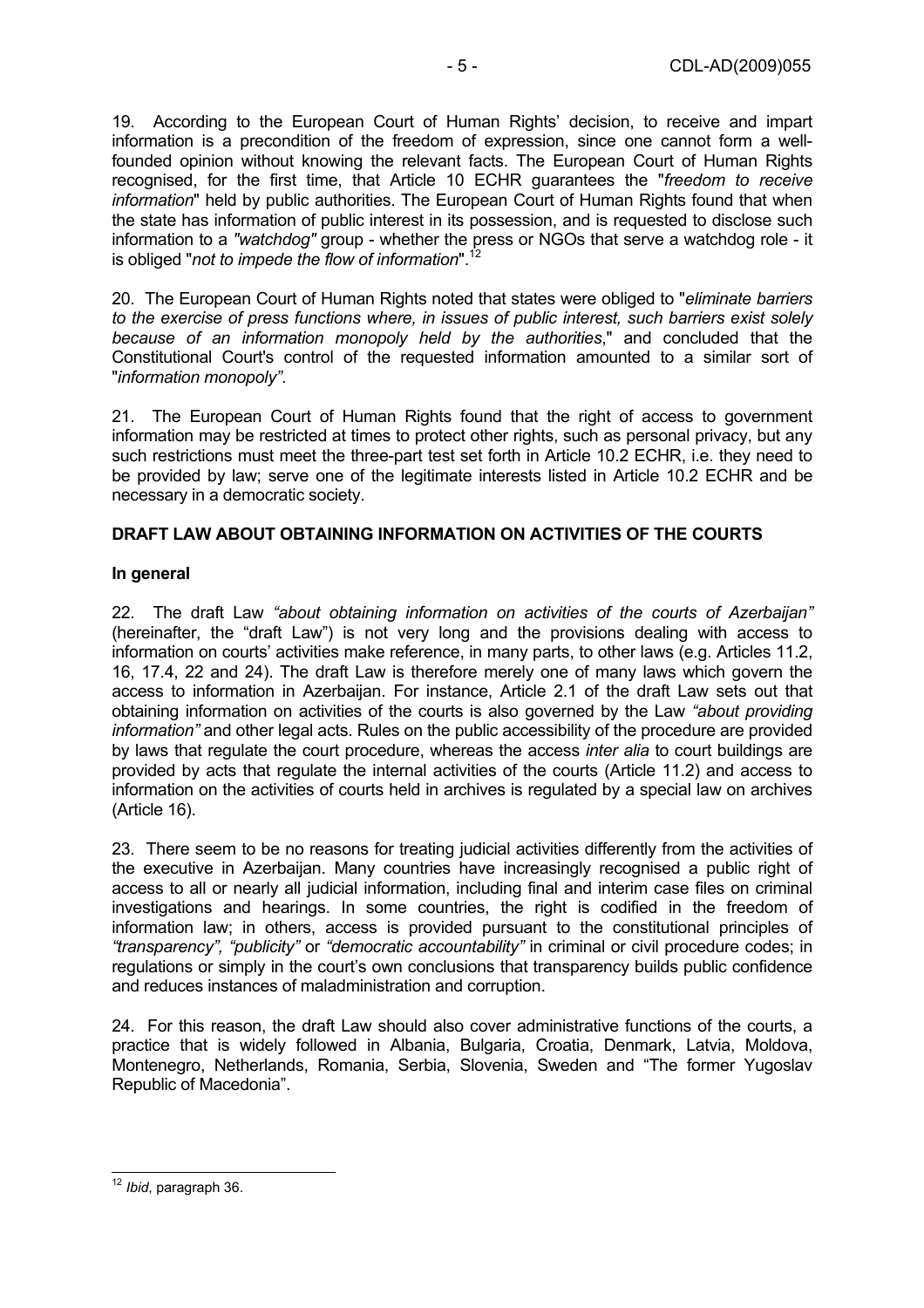19. According to the European Court of Human Rights' decision, to receive and impart information is a precondition of the freedom of expression, since one cannot form a wellfounded opinion without knowing the relevant facts. The European Court of Human Rights recognised, for the first time, that Article 10 ECHR guarantees the "*freedom to receive information*" held by public authorities. The European Court of Human Rights found that when the state has information of public interest in its possession, and is requested to disclose such information to a *"watchdog"* group - whether the press or NGOs that serve a watchdog role - it is obliged "*not to impede the flow of information*".12

20. The European Court of Human Rights noted that states were obliged to "*eliminate barriers to the exercise of press functions where, in issues of public interest, such barriers exist solely because of an information monopoly held by the authorities*," and concluded that the Constitutional Court's control of the requested information amounted to a similar sort of "*information monopoly"*.

21. The European Court of Human Rights found that the right of access to government information may be restricted at times to protect other rights, such as personal privacy, but any such restrictions must meet the three-part test set forth in Article 10.2 ECHR, i.e. they need to be provided by law; serve one of the legitimate interests listed in Article 10.2 ECHR and be necessary in a democratic society.

## **DRAFT LAW ABOUT OBTAINING INFORMATION ON ACTIVITIES OF THE COURTS**

## **In general**

22. The draft Law *"about obtaining information on activities of the courts of Azerbaijan"* (hereinafter, the "draft Law") is not very long and the provisions dealing with access to information on courts' activities make reference, in many parts, to other laws (e.g. Articles 11.2, 16, 17.4, 22 and 24). The draft Law is therefore merely one of many laws which govern the access to information in Azerbaijan. For instance, Article 2.1 of the draft Law sets out that obtaining information on activities of the courts is also governed by the Law *"about providing information"* and other legal acts. Rules on the public accessibility of the procedure are provided by laws that regulate the court procedure, whereas the access *inter alia* to court buildings are provided by acts that regulate the internal activities of the courts (Article 11.2) and access to information on the activities of courts held in archives is regulated by a special law on archives (Article 16).

23. There seem to be no reasons for treating judicial activities differently from the activities of the executive in Azerbaijan. Many countries have increasingly recognised a public right of access to all or nearly all judicial information, including final and interim case files on criminal investigations and hearings. In some countries, the right is codified in the freedom of information law; in others, access is provided pursuant to the constitutional principles of *"transparency", "publicity"* or *"democratic accountability"* in criminal or civil procedure codes; in regulations or simply in the court's own conclusions that transparency builds public confidence and reduces instances of maladministration and corruption.

24. For this reason, the draft Law should also cover administrative functions of the courts, a practice that is widely followed in Albania, Bulgaria, Croatia, Denmark, Latvia, Moldova, Montenegro, Netherlands, Romania, Serbia, Slovenia, Sweden and "The former Yugoslav Republic of Macedonia".

 $\overline{\phantom{a}}$ <sup>12</sup> *Ibid*, paragraph 36.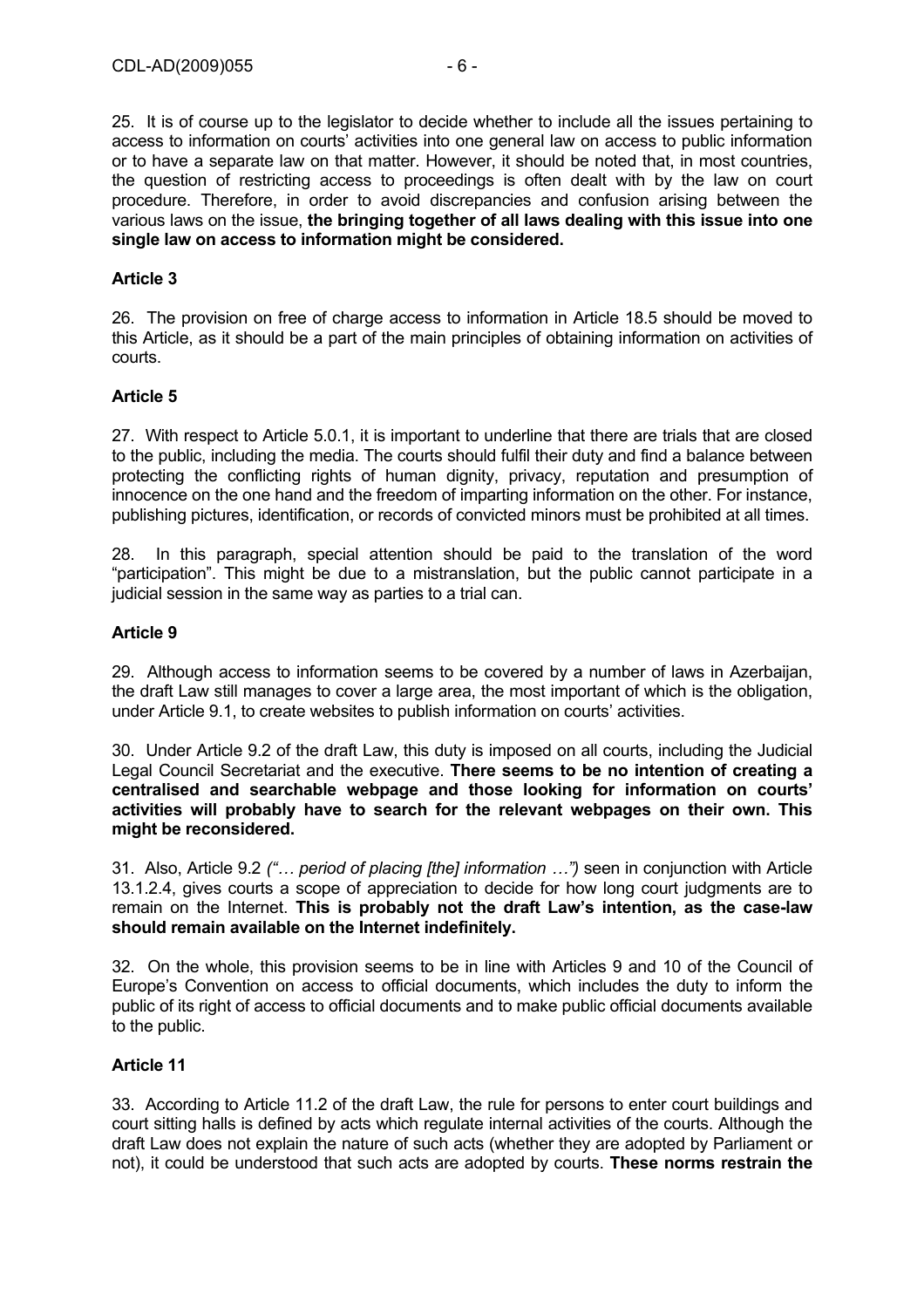25. It is of course up to the legislator to decide whether to include all the issues pertaining to access to information on courts' activities into one general law on access to public information or to have a separate law on that matter. However, it should be noted that, in most countries, the question of restricting access to proceedings is often dealt with by the law on court procedure. Therefore, in order to avoid discrepancies and confusion arising between the various laws on the issue, **the bringing together of all laws dealing with this issue into one single law on access to information might be considered.**

#### **Article 3**

26. The provision on free of charge access to information in Article 18.5 should be moved to this Article, as it should be a part of the main principles of obtaining information on activities of courts.

#### **Article 5**

27. With respect to Article 5.0.1, it is important to underline that there are trials that are closed to the public, including the media. The courts should fulfil their duty and find a balance between protecting the conflicting rights of human dignity, privacy, reputation and presumption of innocence on the one hand and the freedom of imparting information on the other. For instance, publishing pictures, identification, or records of convicted minors must be prohibited at all times.

28. In this paragraph, special attention should be paid to the translation of the word "participation". This might be due to a mistranslation, but the public cannot participate in a judicial session in the same way as parties to a trial can.

#### **Article 9**

29. Although access to information seems to be covered by a number of laws in Azerbaijan, the draft Law still manages to cover a large area, the most important of which is the obligation, under Article 9.1, to create websites to publish information on courts' activities.

30. Under Article 9.2 of the draft Law, this duty is imposed on all courts, including the Judicial Legal Council Secretariat and the executive. **There seems to be no intention of creating a centralised and searchable webpage and those looking for information on courts' activities will probably have to search for the relevant webpages on their own. This might be reconsidered.** 

31. Also, Article 9.2 *("… period of placing [the] information …")* seen in conjunction with Article 13.1.2.4, gives courts a scope of appreciation to decide for how long court judgments are to remain on the Internet. **This is probably not the draft Law's intention, as the case-law should remain available on the Internet indefinitely.** 

32. On the whole, this provision seems to be in line with Articles 9 and 10 of the Council of Europe's Convention on access to official documents, which includes the duty to inform the public of its right of access to official documents and to make public official documents available to the public.

#### **Article 11**

33. According to Article 11.2 of the draft Law, the rule for persons to enter court buildings and court sitting halls is defined by acts which regulate internal activities of the courts. Although the draft Law does not explain the nature of such acts (whether they are adopted by Parliament or not), it could be understood that such acts are adopted by courts. **These norms restrain the**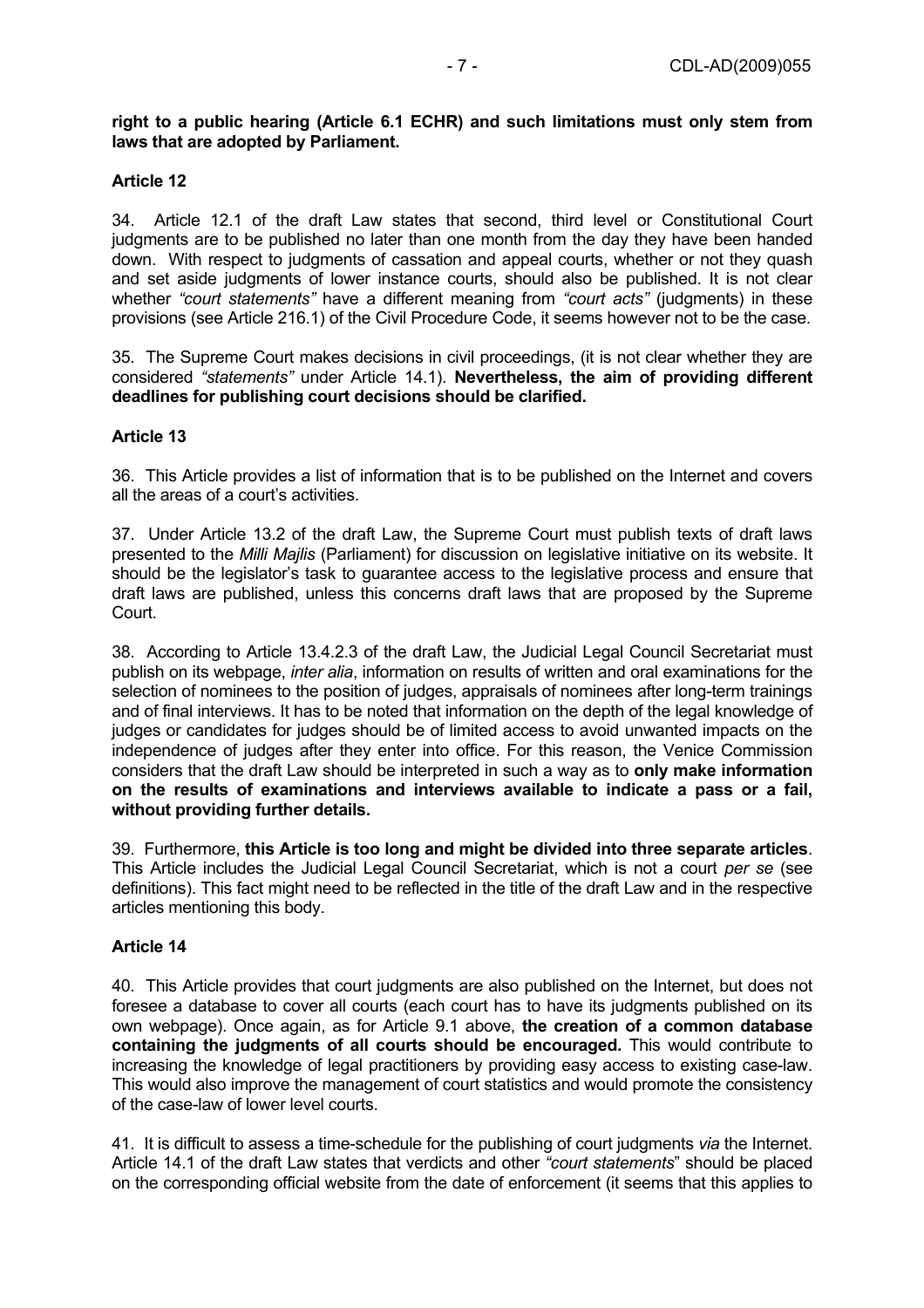#### **right to a public hearing (Article 6.1 ECHR) and such limitations must only stem from laws that are adopted by Parliament.**

#### **Article 12**

34. Article 12.1 of the draft Law states that second, third level or Constitutional Court judgments are to be published no later than one month from the day they have been handed down. With respect to judgments of cassation and appeal courts, whether or not they quash and set aside judgments of lower instance courts, should also be published. It is not clear whether *"court statements"* have a different meaning from *"court acts"* (judgments) in these provisions (see Article 216.1) of the Civil Procedure Code, it seems however not to be the case.

35. The Supreme Court makes decisions in civil proceedings, (it is not clear whether they are considered *"statements"* under Article 14.1). **Nevertheless, the aim of providing different deadlines for publishing court decisions should be clarified.** 

#### **Article 13**

36. This Article provides a list of information that is to be published on the Internet and covers all the areas of a court's activities.

37. Under Article 13.2 of the draft Law, the Supreme Court must publish texts of draft laws presented to the *Milli Majlis* (Parliament) for discussion on legislative initiative on its website. It should be the legislator's task to guarantee access to the legislative process and ensure that draft laws are published, unless this concerns draft laws that are proposed by the Supreme Court.

38. According to Article 13.4.2.3 of the draft Law, the Judicial Legal Council Secretariat must publish on its webpage, *inter alia*, information on results of written and oral examinations for the selection of nominees to the position of judges, appraisals of nominees after long-term trainings and of final interviews. It has to be noted that information on the depth of the legal knowledge of judges or candidates for judges should be of limited access to avoid unwanted impacts on the independence of judges after they enter into office. For this reason, the Venice Commission considers that the draft Law should be interpreted in such a way as to **only make information on the results of examinations and interviews available to indicate a pass or a fail, without providing further details.** 

39. Furthermore, **this Article is too long and might be divided into three separate articles**. This Article includes the Judicial Legal Council Secretariat, which is not a court *per se* (see definitions). This fact might need to be reflected in the title of the draft Law and in the respective articles mentioning this body.

#### **Article 14**

40. This Article provides that court judgments are also published on the Internet, but does not foresee a database to cover all courts (each court has to have its judgments published on its own webpage). Once again, as for Article 9.1 above, **the creation of a common database containing the judgments of all courts should be encouraged.** This would contribute to increasing the knowledge of legal practitioners by providing easy access to existing case-law. This would also improve the management of court statistics and would promote the consistency of the case-law of lower level courts.

41. It is difficult to assess a time-schedule for the publishing of court judgments *via* the Internet. Article 14.1 of the draft Law states that verdicts and other *"court statements*" should be placed on the corresponding official website from the date of enforcement (it seems that this applies to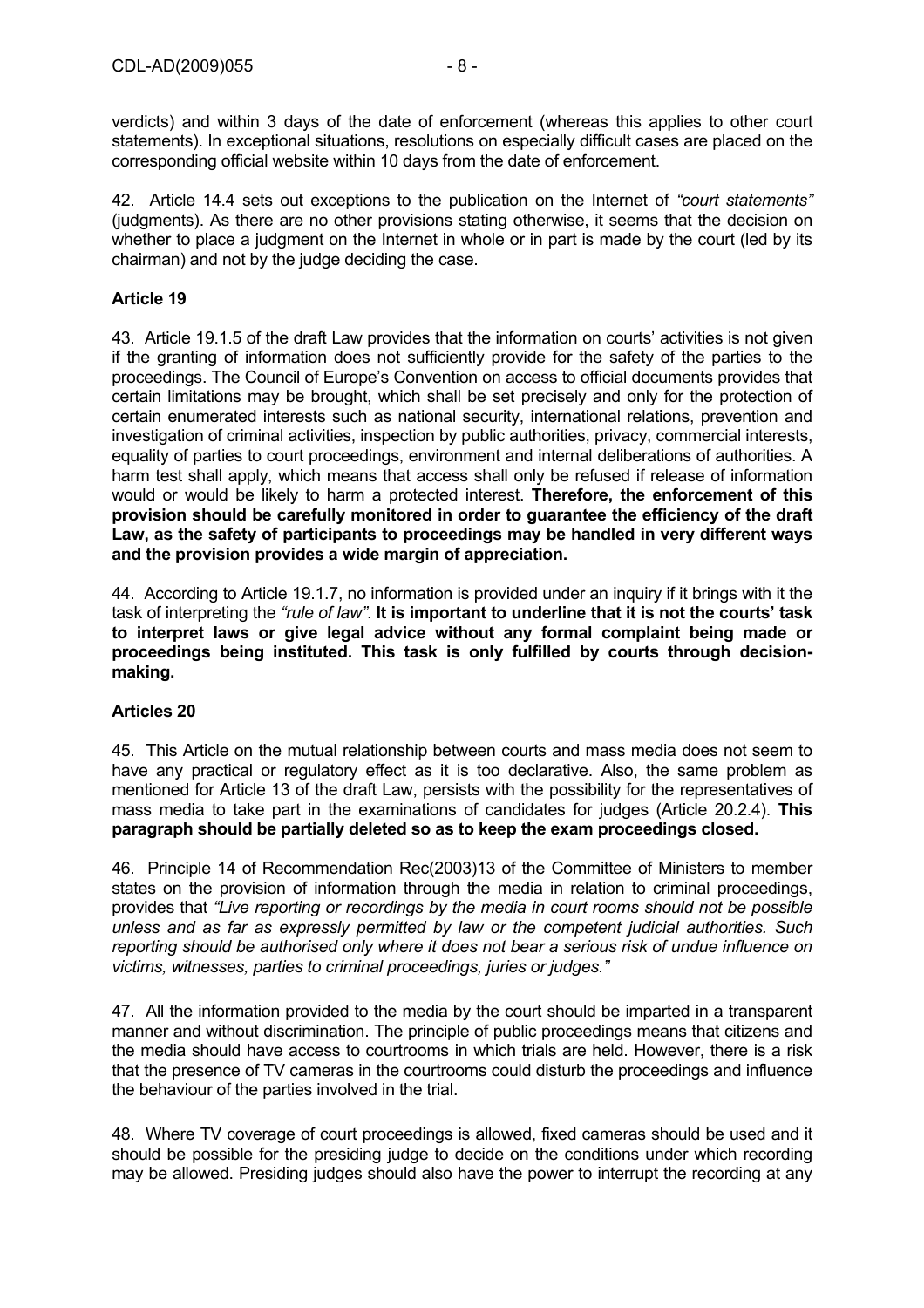verdicts) and within 3 days of the date of enforcement (whereas this applies to other court statements). In exceptional situations, resolutions on especially difficult cases are placed on the corresponding official website within 10 days from the date of enforcement.

42. Article 14.4 sets out exceptions to the publication on the Internet of *"court statements"* (judgments). As there are no other provisions stating otherwise, it seems that the decision on whether to place a judgment on the Internet in whole or in part is made by the court (led by its chairman) and not by the judge deciding the case.

## **Article 19**

43. Article 19.1.5 of the draft Law provides that the information on courts' activities is not given if the granting of information does not sufficiently provide for the safety of the parties to the proceedings. The Council of Europe's Convention on access to official documents provides that certain limitations may be brought, which shall be set precisely and only for the protection of certain enumerated interests such as national security, international relations, prevention and investigation of criminal activities, inspection by public authorities, privacy, commercial interests, equality of parties to court proceedings, environment and internal deliberations of authorities. A harm test shall apply, which means that access shall only be refused if release of information would or would be likely to harm a protected interest. **Therefore, the enforcement of this provision should be carefully monitored in order to guarantee the efficiency of the draft Law, as the safety of participants to proceedings may be handled in very different ways and the provision provides a wide margin of appreciation.**

44. According to Article 19.1.7, no information is provided under an inquiry if it brings with it the task of interpreting the *"rule of law"*. **It is important to underline that it is not the courts' task to interpret laws or give legal advice without any formal complaint being made or proceedings being instituted. This task is only fulfilled by courts through decisionmaking.** 

#### **Articles 20**

45. This Article on the mutual relationship between courts and mass media does not seem to have any practical or regulatory effect as it is too declarative. Also, the same problem as mentioned for Article 13 of the draft Law, persists with the possibility for the representatives of mass media to take part in the examinations of candidates for judges (Article 20.2.4). **This paragraph should be partially deleted so as to keep the exam proceedings closed.** 

46. Principle 14 of Recommendation Rec(2003)13 of the Committee of Ministers to member states on the provision of information through the media in relation to criminal proceedings, provides that *"Live reporting or recordings by the media in court rooms should not be possible unless and as far as expressly permitted by law or the competent judicial authorities. Such reporting should be authorised only where it does not bear a serious risk of undue influence on victims, witnesses, parties to criminal proceedings, juries or judges."*

47. All the information provided to the media by the court should be imparted in a transparent manner and without discrimination. The principle of public proceedings means that citizens and the media should have access to courtrooms in which trials are held. However, there is a risk that the presence of TV cameras in the courtrooms could disturb the proceedings and influence the behaviour of the parties involved in the trial.

48. Where TV coverage of court proceedings is allowed, fixed cameras should be used and it should be possible for the presiding judge to decide on the conditions under which recording may be allowed. Presiding judges should also have the power to interrupt the recording at any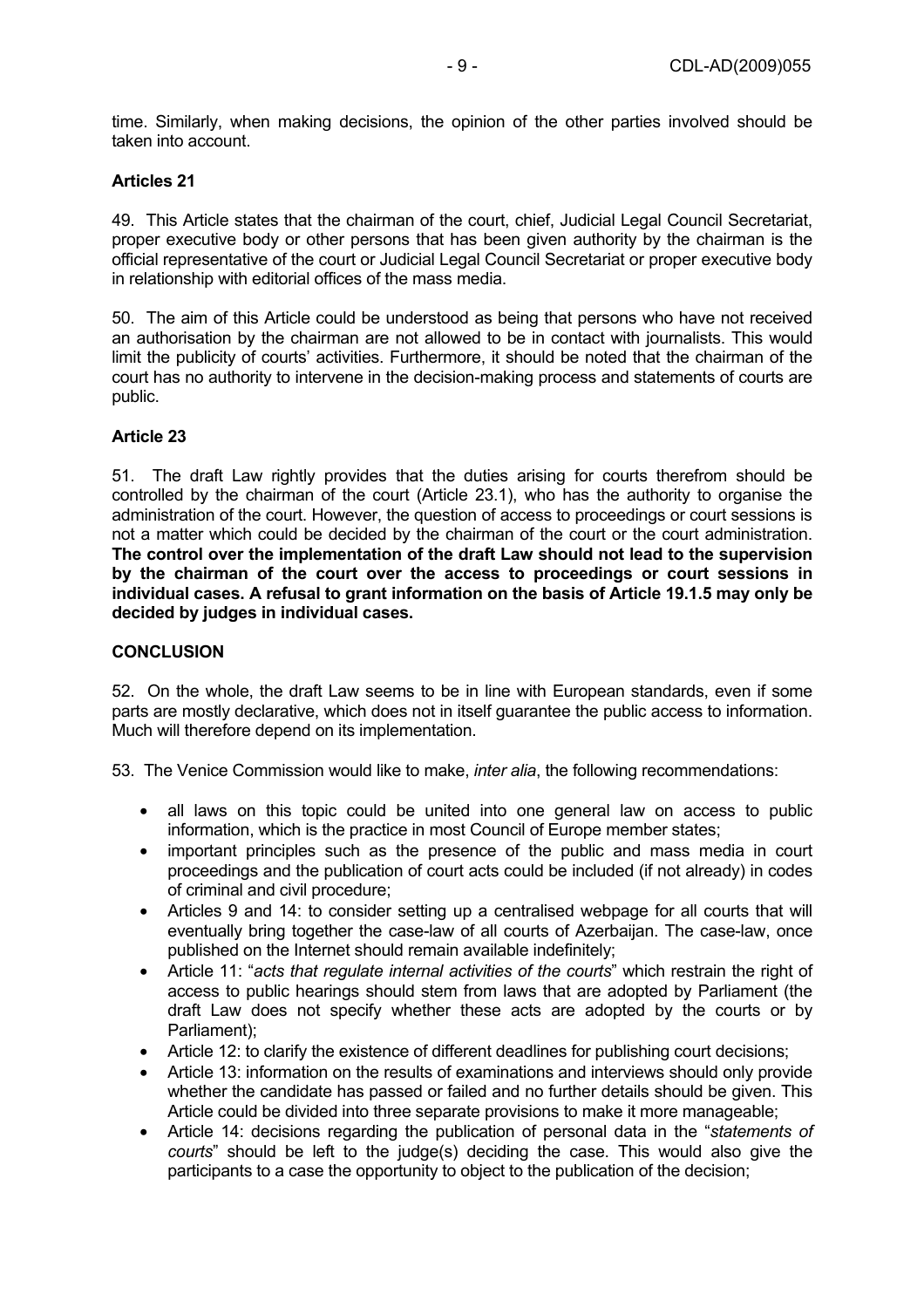time. Similarly, when making decisions, the opinion of the other parties involved should be taken into account.

#### **Articles 21**

49. This Article states that the chairman of the court, chief, Judicial Legal Council Secretariat, proper executive body or other persons that has been given authority by the chairman is the official representative of the court or Judicial Legal Council Secretariat or proper executive body in relationship with editorial offices of the mass media.

50. The aim of this Article could be understood as being that persons who have not received an authorisation by the chairman are not allowed to be in contact with journalists. This would limit the publicity of courts' activities. Furthermore, it should be noted that the chairman of the court has no authority to intervene in the decision-making process and statements of courts are public.

## **Article 23**

51. The draft Law rightly provides that the duties arising for courts therefrom should be controlled by the chairman of the court (Article 23.1), who has the authority to organise the administration of the court. However, the question of access to proceedings or court sessions is not a matter which could be decided by the chairman of the court or the court administration. **The control over the implementation of the draft Law should not lead to the supervision by the chairman of the court over the access to proceedings or court sessions in individual cases. A refusal to grant information on the basis of Article 19.1.5 may only be decided by judges in individual cases.**

#### **CONCLUSION**

52. On the whole, the draft Law seems to be in line with European standards, even if some parts are mostly declarative, which does not in itself guarantee the public access to information. Much will therefore depend on its implementation.

53. The Venice Commission would like to make, *inter alia*, the following recommendations:

- all laws on this topic could be united into one general law on access to public information, which is the practice in most Council of Europe member states;
- important principles such as the presence of the public and mass media in court proceedings and the publication of court acts could be included (if not already) in codes of criminal and civil procedure;
- Articles 9 and 14: to consider setting up a centralised webpage for all courts that will eventually bring together the case-law of all courts of Azerbaijan. The case-law, once published on the Internet should remain available indefinitely;
- Article 11: "*acts that regulate internal activities of the courts*" which restrain the right of access to public hearings should stem from laws that are adopted by Parliament (the draft Law does not specify whether these acts are adopted by the courts or by Parliament);
- Article 12: to clarify the existence of different deadlines for publishing court decisions;
- Article 13: information on the results of examinations and interviews should only provide whether the candidate has passed or failed and no further details should be given. This Article could be divided into three separate provisions to make it more manageable;
- Article 14: decisions regarding the publication of personal data in the "*statements of courts*" should be left to the judge(s) deciding the case. This would also give the participants to a case the opportunity to object to the publication of the decision;